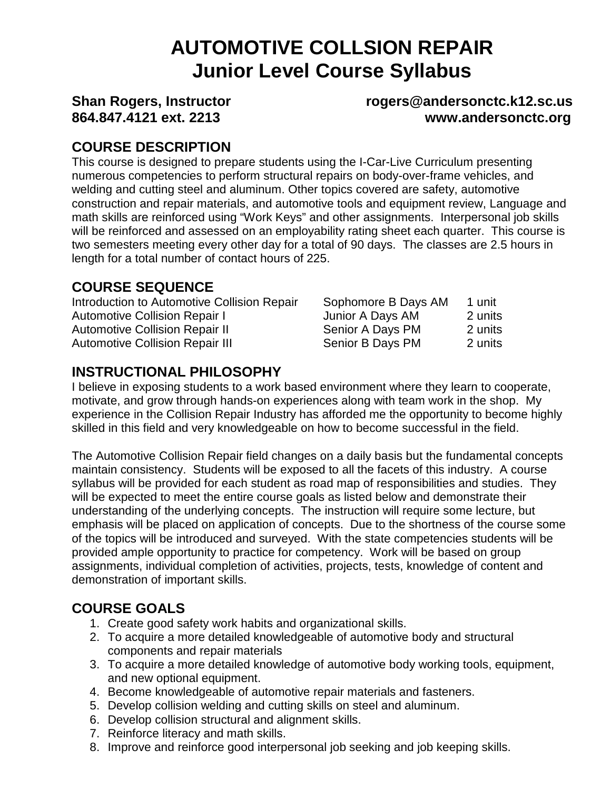# **AUTOMOTIVE COLLSION REPAIR Junior Level Course Syllabus**

#### **Shan Rogers, Instructor rogers@andersonctc.k12.sc.us 864.847.4121 ext. 2213 www.andersonctc.org**

# **COURSE DESCRIPTION**

This course is designed to prepare students using the I-Car-Live Curriculum presenting numerous competencies to perform structural repairs on body-over-frame vehicles, and welding and cutting steel and aluminum. Other topics covered are safety, automotive construction and repair materials, and automotive tools and equipment review, Language and math skills are reinforced using "Work Keys" and other assignments. Interpersonal job skills will be reinforced and assessed on an employability rating sheet each quarter. This course is two semesters meeting every other day for a total of 90 days. The classes are 2.5 hours in length for a total number of contact hours of 225.

# **COURSE SEQUENCE**

| Sophomore B Days AM | 1 unit  |
|---------------------|---------|
| Junior A Days AM    | 2 units |
| Senior A Days PM    | 2 units |
| Senior B Days PM    | 2 units |
|                     |         |

# **INSTRUCTIONAL PHILOSOPHY**

I believe in exposing students to a work based environment where they learn to cooperate, motivate, and grow through hands-on experiences along with team work in the shop. My experience in the Collision Repair Industry has afforded me the opportunity to become highly skilled in this field and very knowledgeable on how to become successful in the field.

The Automotive Collision Repair field changes on a daily basis but the fundamental concepts maintain consistency. Students will be exposed to all the facets of this industry. A course syllabus will be provided for each student as road map of responsibilities and studies. They will be expected to meet the entire course goals as listed below and demonstrate their understanding of the underlying concepts. The instruction will require some lecture, but emphasis will be placed on application of concepts. Due to the shortness of the course some of the topics will be introduced and surveyed. With the state competencies students will be provided ample opportunity to practice for competency. Work will be based on group assignments, individual completion of activities, projects, tests, knowledge of content and demonstration of important skills.

# **COURSE GOALS**

- 1. Create good safety work habits and organizational skills.
- 2. To acquire a more detailed knowledgeable of automotive body and structural components and repair materials
- 3. To acquire a more detailed knowledge of automotive body working tools, equipment, and new optional equipment.
- 4. Become knowledgeable of automotive repair materials and fasteners.
- 5. Develop collision welding and cutting skills on steel and aluminum.
- 6. Develop collision structural and alignment skills.
- 7. Reinforce literacy and math skills.
- 8. Improve and reinforce good interpersonal job seeking and job keeping skills.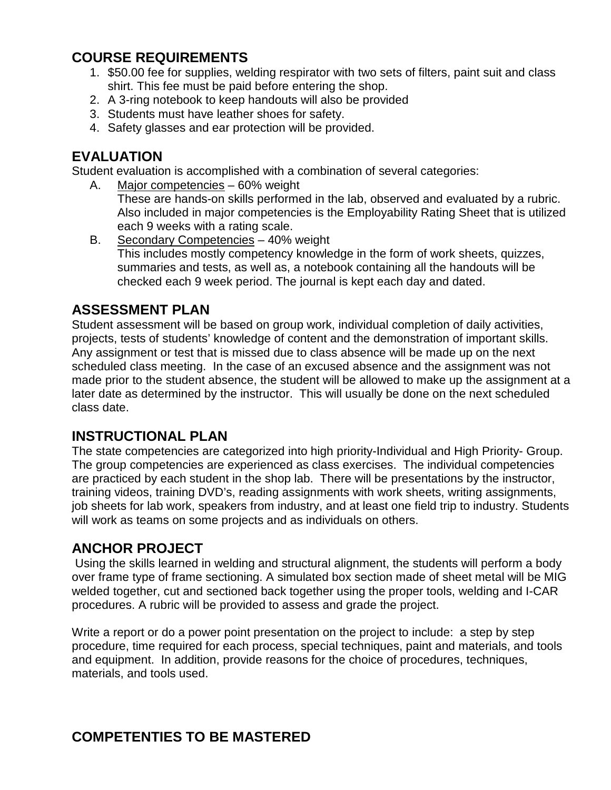# **COURSE REQUIREMENTS**

- 1. \$50.00 fee for supplies, welding respirator with two sets of filters, paint suit and class shirt. This fee must be paid before entering the shop.
- 2. A 3-ring notebook to keep handouts will also be provided
- 3. Students must have leather shoes for safety.
- 4. Safety glasses and ear protection will be provided.

#### **EVALUATION**

Student evaluation is accomplished with a combination of several categories:

A. Major competencies – 60% weight

These are hands-on skills performed in the lab, observed and evaluated by a rubric. Also included in major competencies is the Employability Rating Sheet that is utilized each 9 weeks with a rating scale.

B. Secondary Competencies – 40% weight This includes mostly competency knowledge in the form of work sheets, quizzes, summaries and tests, as well as, a notebook containing all the handouts will be checked each 9 week period. The journal is kept each day and dated.

#### **ASSESSMENT PLAN**

Student assessment will be based on group work, individual completion of daily activities, projects, tests of students' knowledge of content and the demonstration of important skills. Any assignment or test that is missed due to class absence will be made up on the next scheduled class meeting. In the case of an excused absence and the assignment was not made prior to the student absence, the student will be allowed to make up the assignment at a later date as determined by the instructor. This will usually be done on the next scheduled class date.

#### **INSTRUCTIONAL PLAN**

The state competencies are categorized into high priority-Individual and High Priority- Group. The group competencies are experienced as class exercises. The individual competencies are practiced by each student in the shop lab. There will be presentations by the instructor, training videos, training DVD's, reading assignments with work sheets, writing assignments, job sheets for lab work, speakers from industry, and at least one field trip to industry. Students will work as teams on some projects and as individuals on others.

#### **ANCHOR PROJECT**

 Using the skills learned in welding and structural alignment, the students will perform a body over frame type of frame sectioning. A simulated box section made of sheet metal will be MIG welded together, cut and sectioned back together using the proper tools, welding and I-CAR procedures. A rubric will be provided to assess and grade the project.

Write a report or do a power point presentation on the project to include: a step by step procedure, time required for each process, special techniques, paint and materials, and tools and equipment. In addition, provide reasons for the choice of procedures, techniques, materials, and tools used.

# **COMPETENTIES TO BE MASTERED**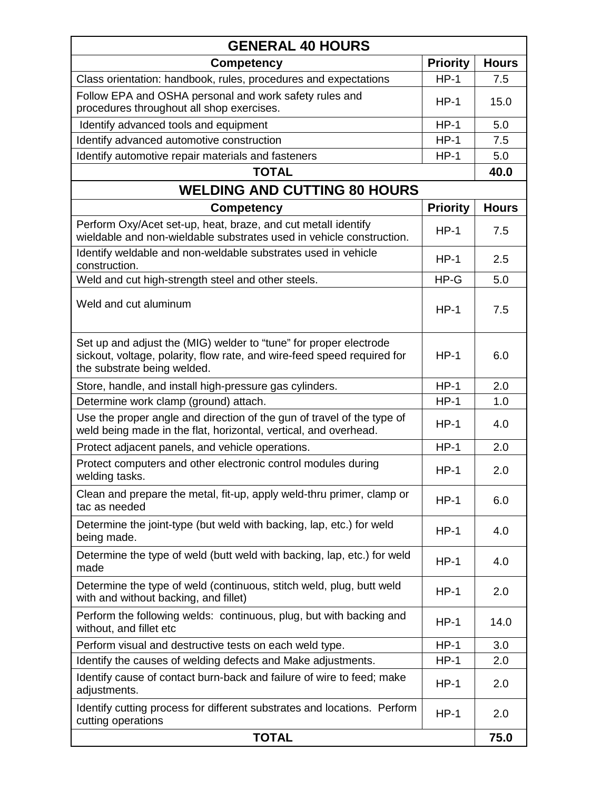| <b>GENERAL 40 HOURS</b>                                                                                                                                                     |                 |              |  |
|-----------------------------------------------------------------------------------------------------------------------------------------------------------------------------|-----------------|--------------|--|
| <b>Competency</b>                                                                                                                                                           | <b>Priority</b> | <b>Hours</b> |  |
| Class orientation: handbook, rules, procedures and expectations                                                                                                             | $HP-1$          | 7.5          |  |
| Follow EPA and OSHA personal and work safety rules and<br>procedures throughout all shop exercises.                                                                         | $HP-1$          | 15.0         |  |
| Identify advanced tools and equipment                                                                                                                                       | $HP-1$          | 5.0          |  |
| Identify advanced automotive construction                                                                                                                                   | $HP-1$          | 7.5          |  |
| Identify automotive repair materials and fasteners                                                                                                                          | $HP-1$          | 5.0          |  |
| <b>TOTAL</b>                                                                                                                                                                |                 | 40.0         |  |
| <b>WELDING AND CUTTING 80 HOURS</b>                                                                                                                                         |                 |              |  |
| <b>Competency</b>                                                                                                                                                           | <b>Priority</b> | <b>Hours</b> |  |
| Perform Oxy/Acet set-up, heat, braze, and cut metall identify<br>wieldable and non-wieldable substrates used in vehicle construction.                                       | $HP-1$          | 7.5          |  |
| Identify weldable and non-weldable substrates used in vehicle<br>construction.                                                                                              | $HP-1$          | 2.5          |  |
| Weld and cut high-strength steel and other steels.                                                                                                                          | $HP-G$          | 5.0          |  |
| Weld and cut aluminum                                                                                                                                                       | $HP-1$          | 7.5          |  |
| Set up and adjust the (MIG) welder to "tune" for proper electrode<br>sickout, voltage, polarity, flow rate, and wire-feed speed required for<br>the substrate being welded. | $HP-1$          | 6.0          |  |
| Store, handle, and install high-pressure gas cylinders.                                                                                                                     | $HP-1$          | 2.0          |  |
| Determine work clamp (ground) attach.                                                                                                                                       | $HP-1$          | 1.0          |  |
| Use the proper angle and direction of the gun of travel of the type of<br>weld being made in the flat, horizontal, vertical, and overhead.                                  | $HP-1$          | 4.0          |  |
| Protect adjacent panels, and vehicle operations.                                                                                                                            | $HP-1$          | 2.0          |  |
| Protect computers and other electronic control modules during<br>welding tasks.                                                                                             | $HP-1$          | 2.0          |  |
| Clean and prepare the metal, fit-up, apply weld-thru primer, clamp or<br>tac as needed                                                                                      | $HP-1$          | 6.0          |  |
| Determine the joint-type (but weld with backing, lap, etc.) for weld<br>being made.                                                                                         | $HP-1$          | 4.0          |  |
| Determine the type of weld (butt weld with backing, lap, etc.) for weld<br>made                                                                                             | $HP-1$          | 4.0          |  |
| Determine the type of weld (continuous, stitch weld, plug, butt weld<br>with and without backing, and fillet)                                                               | $HP-1$          | 2.0          |  |
| Perform the following welds: continuous, plug, but with backing and<br>without, and fillet etc                                                                              | $HP-1$          | 14.0         |  |
| Perform visual and destructive tests on each weld type.                                                                                                                     | $HP-1$          | 3.0          |  |
| Identify the causes of welding defects and Make adjustments.                                                                                                                | $HP-1$          | 2.0          |  |
| Identify cause of contact burn-back and failure of wire to feed; make<br>adjustments.                                                                                       | $HP-1$          | 2.0          |  |
| Identify cutting process for different substrates and locations. Perform<br>cutting operations                                                                              | $HP-1$          | 2.0          |  |
| <b>TOTAL</b>                                                                                                                                                                |                 | 75.0         |  |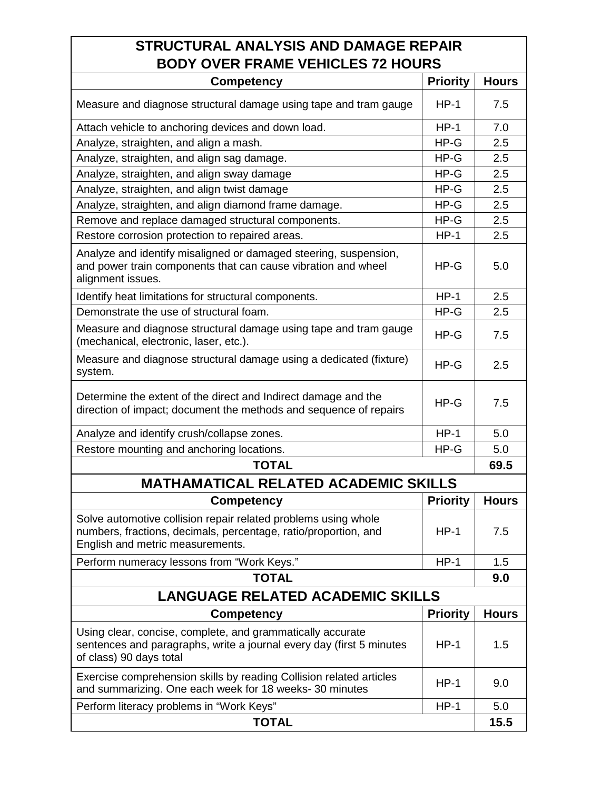| STRUCTURAL ANALYSIS AND DAMAGE REPAIR                                                                                                                                 |                 |              |  |
|-----------------------------------------------------------------------------------------------------------------------------------------------------------------------|-----------------|--------------|--|
| <b>BODY OVER FRAME VEHICLES 72 HOURS</b>                                                                                                                              |                 |              |  |
| <b>Competency</b>                                                                                                                                                     | <b>Priority</b> | <b>Hours</b> |  |
| Measure and diagnose structural damage using tape and tram gauge                                                                                                      | $HP-1$          | 7.5          |  |
| Attach vehicle to anchoring devices and down load.                                                                                                                    | $HP-1$          | 7.0          |  |
| Analyze, straighten, and align a mash.                                                                                                                                | $HP-G$          | 2.5          |  |
| Analyze, straighten, and align sag damage.                                                                                                                            | $HP-G$          | 2.5          |  |
| Analyze, straighten, and align sway damage                                                                                                                            | $HP-G$          | 2.5          |  |
| Analyze, straighten, and align twist damage                                                                                                                           | $HP-G$          | 2.5          |  |
| Analyze, straighten, and align diamond frame damage.                                                                                                                  | $HP-G$          | 2.5          |  |
| Remove and replace damaged structural components.                                                                                                                     | $HP-G$          | 2.5          |  |
| Restore corrosion protection to repaired areas.                                                                                                                       | $HP-1$          | 2.5          |  |
| Analyze and identify misaligned or damaged steering, suspension,<br>and power train components that can cause vibration and wheel<br>alignment issues.                | $HP-G$          | 5.0          |  |
| Identify heat limitations for structural components.                                                                                                                  | $HP-1$          | 2.5          |  |
| Demonstrate the use of structural foam.                                                                                                                               | $HP-G$          | 2.5          |  |
| Measure and diagnose structural damage using tape and tram gauge<br>(mechanical, electronic, laser, etc.).                                                            | $HP-G$          | 7.5          |  |
| Measure and diagnose structural damage using a dedicated (fixture)<br>system.                                                                                         | $HP-G$          | 2.5          |  |
| Determine the extent of the direct and Indirect damage and the<br>direction of impact; document the methods and sequence of repairs                                   | $HP-G$          | 7.5          |  |
| Analyze and identify crush/collapse zones.                                                                                                                            | $HP-1$          | 5.0          |  |
| Restore mounting and anchoring locations.                                                                                                                             | HP-G            | 5.0          |  |
| <b>TOTAL</b>                                                                                                                                                          |                 | 69.5         |  |
| <b>MATHAMATICAL RELATED ACADEMIC SKILLS</b>                                                                                                                           |                 |              |  |
| <b>Competency</b>                                                                                                                                                     | <b>Priority</b> | <b>Hours</b> |  |
| Solve automotive collision repair related problems using whole<br>numbers, fractions, decimals, percentage, ratio/proportion, and<br>English and metric measurements. | $HP-1$          | 7.5          |  |
| Perform numeracy lessons from "Work Keys."                                                                                                                            | $HP-1$          | 1.5          |  |
| <b>TOTAL</b>                                                                                                                                                          |                 | 9.0          |  |
| <b>LANGUAGE RELATED ACADEMIC SKILLS</b>                                                                                                                               |                 |              |  |
| <b>Competency</b>                                                                                                                                                     | <b>Priority</b> | <b>Hours</b> |  |
| Using clear, concise, complete, and grammatically accurate<br>sentences and paragraphs, write a journal every day (first 5 minutes<br>of class) 90 days total         | $HP-1$          | 1.5          |  |
| Exercise comprehension skills by reading Collision related articles<br>and summarizing. One each week for 18 weeks-30 minutes                                         | $HP-1$          | 9.0          |  |
| Perform literacy problems in "Work Keys"                                                                                                                              | $HP-1$          | 5.0          |  |
| <b>TOTAL</b>                                                                                                                                                          |                 | 15.5         |  |

Г